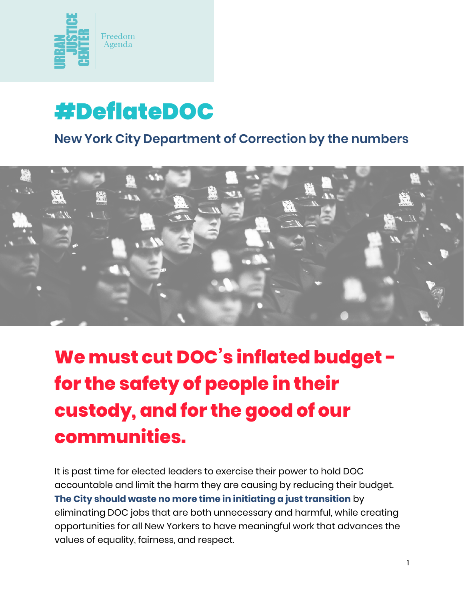



#### **New York City Department of Correction by the numbers**



# **We must cut DOC's inflated budget for the safety of people in their custody, and for the good of our communities.**

It is past time for elected leaders to exercise their power to hold DOC accountable and limit the harm they are causing by reducing their budget. **The City should waste no more time in initiating a just transition** by eliminating DOC jobs that are both unnecessary and harmful, while creating opportunities for all New Yorkers to have meaningful work that advances the values of equality, fairness, and respect.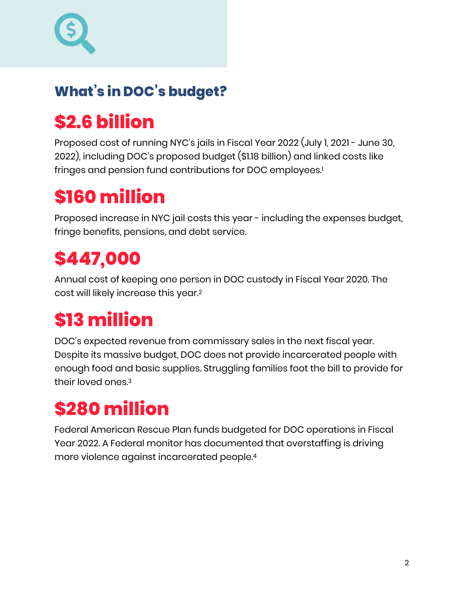### **What's in DOC's budget?**

## **\$2.6 billion**

Proposed cost of running NYC's jails in Fiscal Year 2022 (July 1, 2021 - June 30, 2022), including DOC's proposed budget (\$1.18 billion) and linked costs like fringes and pension fund contributions for DOC employees.<sup>[1](#page-1-0)</sup>

### **\$160 million**

Proposed increase in NYC jail costs this year - including the expenses budget, fringe benefits, pensions, and debt service.

## **\$447,000**

Annual cost of keeping one person in DOC custody in Fiscal Year 2020. The cost will likely increase this year[.2](#page-1-1)

# **\$13 million**

DOC's expected revenue from commissary sales in the next fiscal year. Despite its massive budget, DOC does not provide incarcerated people with enough food and basic supplies. Struggling families foot the bill to provide for their loved ones[.3](#page-1-2)

## **\$280 million**

<span id="page-1-3"></span><span id="page-1-2"></span><span id="page-1-1"></span><span id="page-1-0"></span>Federal American Rescue Plan funds budgeted for DOC operations in Fiscal Year 2022. A Federal monitor has documented that overstaffing is driving more violence against incarcerated people[.4](#page-1-3)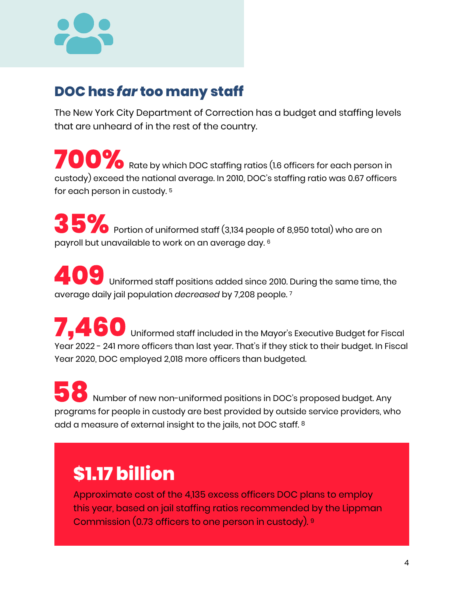

#### **DOC has** *far* **too many staff**

The New York City Department of Correction has a budget and staffing levels that are unheard of in the rest of the country.

**700%** Rate by which DOC staffing ratios (1.6 officers for each person in custody) exceed the national average. In 2010, DOC's staffing ratio was 0.67 officers for each person in custody. 5

**35%** Portion of uniformed staff (3,134 people of 8,950 total) who are on payroll but unavailable to work on an average day. 6

**409** Uniformed staff positions added since 2010. During the same time, the average daily jail population *decreased* by 7,208 people. 7

**7.460** Uniformed staff included in the Mayor's Executive Budget for Fiscal **,** Year 2022 - 241 more officers than last year. That's if they stick to their budget. In Fiscal Year 2020, DOC employed 2,018 more officers than budgeted.

**388** Number of new non-uniformed positions in DOC's proposed budget. Any programs for people in custody are best provided by outside service providers, who add a measure of external insight to the jails, not DOC staff. 8

### **\$1.17 billion**

Approximate cost of the 4,135 excess officers DOC plans to employ this year, based on jail staffing ratios recommended by the Lippman Commission (0.73 officers to one person in custody). <sup>9</sup>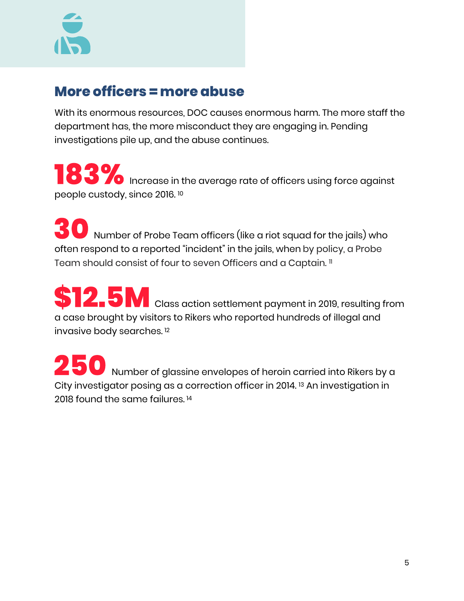

#### **More officers = more abuse**

With its enormous resources, DOC causes enormous harm. The more staff the department has, the more misconduct they are engaging in. Pending investigations pile up, and the abuse continues.

**183%** Increase in the average rate of officers using force against people custody, since 2016. [10](#page-3-0)

**30** Number of Probe Team officers (like a riot squad for the jails) who often respond to a reported "incident" in the jails, when by policy, a Probe Team should consist of four to seven Officers and a Captain. [11](#page-3-1)

**12.5M** Class action settlement payment in 2019, resulting from a case brought by visitors to Rikers who reported hundreds of illegal and invasive body searches. [12](#page-3-2)

<span id="page-3-4"></span><span id="page-3-3"></span><span id="page-3-2"></span><span id="page-3-1"></span><span id="page-3-0"></span>**250** Number of glassine envelopes of heroin carried into Rikers by a Cityinvestigator posing as a correction officer in 2014.<sup>[13](#page-3-3)</sup> An investigation in 2018 found the same failures.<sup>[14](#page-3-4)</sup>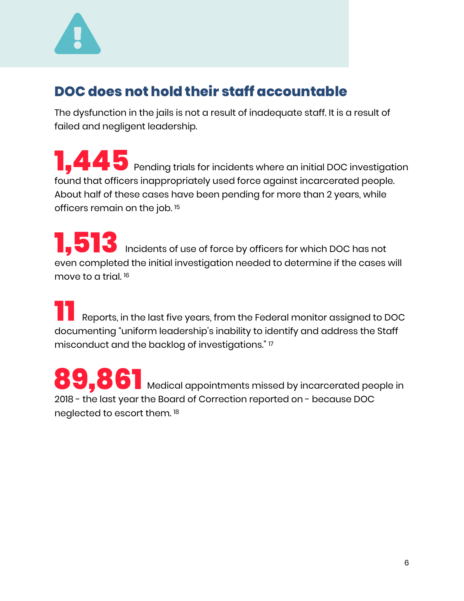

#### **DOC does not hold their staff accountable**

The dysfunction in the jails is not a result of inadequate staff. It is a result of failed and negligent leadership.

**1.45** Pending trials for incidents where an initial DOC investigation found that officers inappropriately used force against incarcerated people. About half of these cases have been pending for more than 2 years, while officers remain on the job. [15](#page-4-0) **,**

**1.513** Incidents of use of force by officers for which DOC has not even completed the initial investigation needed to determine if the cases will move to a trial. [16](#page-4-1) **,**

**11** Reports, in the last five years, from the Federal monitor assigned to DOC documenting "uniform leadership's inability to identify and address the Staff misconduct and the backlog of investigations." [17](#page-4-2)

<span id="page-4-3"></span><span id="page-4-2"></span><span id="page-4-1"></span><span id="page-4-0"></span>**89.861** Medical appointments missed by incarcerated people in 2018 - the last year the Board of Correction reported on - because DOC neglected to escort them. [18](#page-4-3) **,**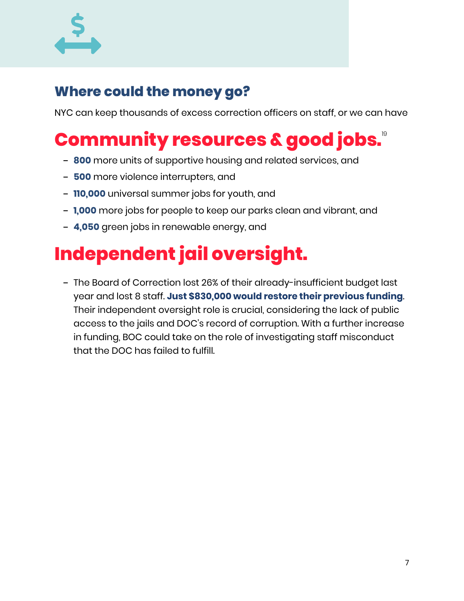

#### **Where could the money go?**

NYC can keep thousands of excess correction officers on staff, or we can have

### **Community resources & good jobs.**[19](#page-5-0)

- **800** more units of supportive housing and related services, and
- **500** more violence interrupters, and
- **110,000** universal summer jobs for youth, and
- **1,000** more jobs for people to keep our parks clean and vibrant, and
- **4,050** green jobs in renewable energy, and

### **Independent jail oversight.**

<span id="page-5-0"></span>- The Board of Correction lost 26% of their already-insufficient budget last year and lost 8 staff. **Just \$830,000 would restore their previous funding**. Their independent oversight role is crucial, considering the lack of public access to the jails and DOC's record of corruption. With a further increase in funding, BOC could take on the role of investigating staff misconduct that the DOC has failed to fulfill.